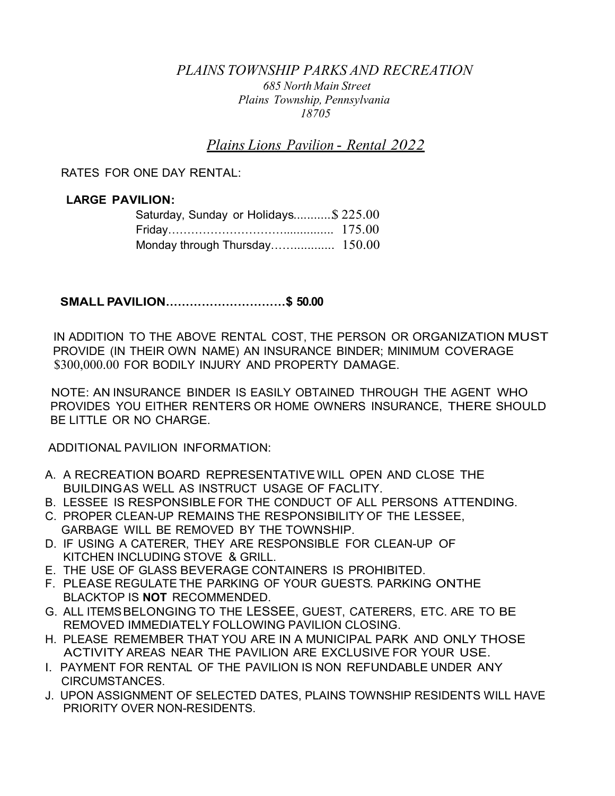## *PLAINS TOWNSHIP PARKS AND RECREATION 685 North Main Street Plains Township, Pennsylvania 18705*

*Plains Lions Pavilion* - *Rental 2022*

RATES FOR ONE DAY RENTAL:

## **LARGE PAVILION:**

| Saturday, Sunday or Holidays\$ 225.00 |  |
|---------------------------------------|--|
|                                       |  |
|                                       |  |

**SMALL P·AVILION…………………………\$ 50.00**

IN ADDITION TO THE ABOVE RENTAL COST, THE PERSON OR ORGANIZATION MUST PROVIDE (IN THEIR OWN NAME) AN INSURANCE BINDER; MINIMUM COVERAGE \$300,000.00 FOR BODILY INJURY AND PROPERTY DAMAGE.

NOTE: AN INSURANCE BINDER IS EASILY OBTAINED THROUGH THE AGENT WHO PROVIDES YOU EITHER RENTERS OR HOME OWNERS INSURANCE, THERE SHOULD BE LITTLE OR NO CHARGE.

ADDITIONAL PAVILION INFORMATION:

- A. A RECREATION BOARD REPRESENTATIVE WILL OPEN AND CLOSE THE BUILDINGAS WELL AS INSTRUCT USAGE OF FACLITY.
- B. LESSEE IS RESPONSIBLE FOR THE CONDUCT OF ALL PERSONS ATTENDING.
- C. PROPER CLEAN-UP REMAINS THE RESPONSIBILITY OF THE LESSEE, GARBAGE WILL BE REMOVED BY THE TOWNSHIP.
- D. IF USING A CATERER, THEY ARE RESPONSIBLE FOR CLEAN-UP OF KITCHEN INCLUDING STOVE & GRILL.
- E. THE USE OF GLASS BEVERAGE CONTAINERS IS PROHIBITED.
- F. PLEASE REGULATE THE PARKING OF YOUR GUESTS. PARKING ONTHE BLACKTOP IS **NOT** RECOMMENDED.
- G. ALL ITEMSBELONGING TO THE LESSEE, GUEST, CATERERS, ETC. ARE TO BE REMOVED IMMEDIATELY FOLLOWING PAVILION CLOSING.
- H. PLEASE REMEMBER THAT YOU ARE IN A MUNICIPAL PARK AND ONLY THOSE ACTIVITY AREAS NEAR THE PAVILION ARE EXCLUSIVE FOR YOUR USE.
- I. PAYMENT FOR RENTAL OF THE PAVILION IS NON REFUNDABLE UNDER ANY CIRCUMSTANCES.
- J. UPON ASSIGNMENT OF SELECTED DATES, PLAINS TOWNSHIP RESIDENTS WILL HAVE PRIORITY OVER NON-RESIDENTS.